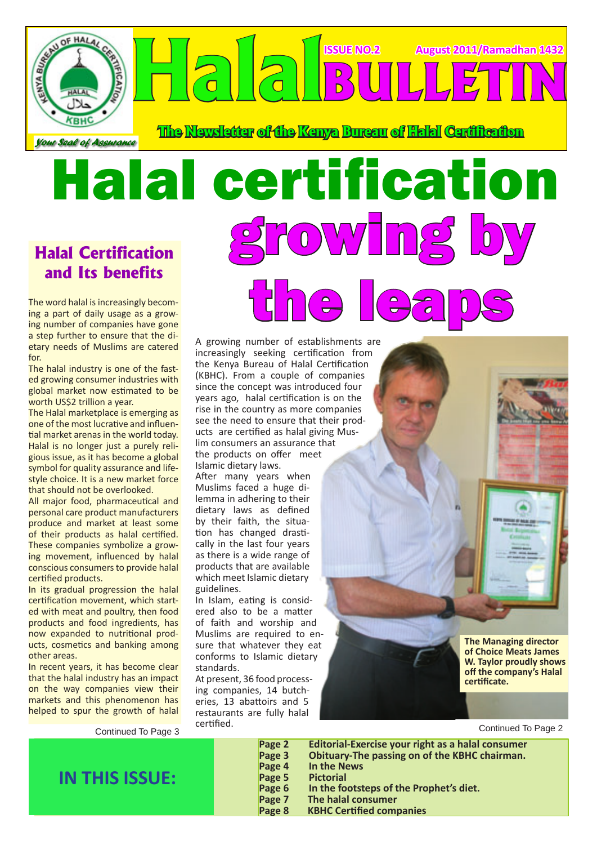

**The Newsletter of the Kenya Bureau of Halal Certification**

the leaps

**ISSUE NO.2 August 2011/Ramadhan 1432**

**BULLETIN**

# Halal certification growing by

### **Halal Certification and Its benefits**

The word halal is increasingly becoming a part of daily usage as a growing number of companies have gone a step further to ensure that the dietary needs of Muslims are catered for.

The halal industry is one of the fasted growing consumer industries with global market now estimated to be worth US\$2 trillion a year.

The Halal marketplace is emerging as one of the most lucrative and influential market arenas in the world today. Halal is no longer just a purely religious issue, as it has become a global symbol for quality assurance and lifestyle choice. It is a new market force that should not be overlooked.

All major food, pharmaceutical and personal care product manufacturers produce and market at least some of their products as halal certified. These companies symbolize a growing movement, influenced by halal conscious consumers to provide halal certified products.

In its gradual progression the halal certification movement, which started with meat and poultry, then food products and food ingredients, has now expanded to nutritional products, cosmetics and banking among other areas.

In recent years, it has become clear that the halal industry has an impact on the way companies view their markets and this phenomenon has helped to spur the growth of halal

Continued To Page 3

A growing number of establishments are increasingly seeking certification from the Kenya Bureau of Halal Certification (KBHC). From a couple of companies since the concept was introduced four years ago, halal certification is on the rise in the country as more companies see the need to ensure that their products are certified as halal giving Muslim consumers an assurance that the products on offer meet Islamic dietary laws.

After many years when Muslims faced a huge dilemma in adhering to their dietary laws as defined by their faith, the situation has changed drastically in the last four years as there is a wide range of products that are available which meet Islamic dietary guidelines.

In Islam, eating is considered also to be a matter of faith and worship and Muslims are required to ensure that whatever they eat conforms to Islamic dietary standards.

At present, 36 food processing companies, 14 butcheries, 13 abattoirs and 5 restaurants are fully halal certified.

**The Managing director of Choice Meats James W. Taylor proudly shows off the company's Halal certificate.** 

Continued To Page 2

**IN THIS ISSUE:**

**Page 2 Editorial-Exercise your right as a halal consumer Page 3 Obituary-The passing on of the KBHC chairman. Page 4 In the News Page 5 Pictorial Page 6 In the footsteps of the Prophet's diet. Page 7 The halal consumer**

**Page 8 KBHC Certified companies**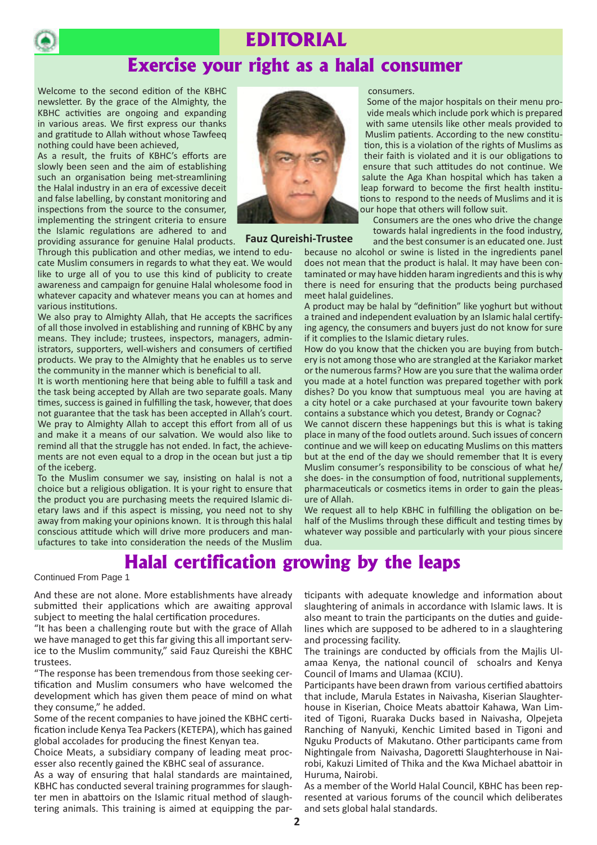

### **EDITORIAL**

### **Exercise your right as a halal consumer**

Welcome to the second edition of the KBHC newsletter. By the grace of the Almighty, the KBHC activities are ongoing and expanding in various areas. We first express our thanks and gratitude to Allah without whose Tawfeeq nothing could have been achieved,

As a result, the fruits of KBHC's efforts are slowly been seen and the aim of establishing such an organisation being met-streamlining the Halal industry in an era of excessive deceit and false labelling, by constant monitoring and inspections from the source to the consumer, implementing the stringent criteria to ensure the Islamic regulations are adhered to and providing assurance for genuine Halal products.



#### **Fauz Qureishi-Trustee**

Through this publication and other medias, we intend to educate Muslim consumers in regards to what they eat. We would like to urge all of you to use this kind of publicity to create awareness and campaign for genuine Halal wholesome food in whatever capacity and whatever means you can at homes and various institutions.

We also pray to Almighty Allah, that He accepts the sacrifices of all those involved in establishing and running of KBHC by any means. They include; trustees, inspectors, managers, administrators, supporters, well-wishers and consumers of certified products. We pray to the Almighty that he enables us to serve the community in the manner which is beneficial to all.

It is worth mentioning here that being able to fulfill a task and the task being accepted by Allah are two separate goals. Many times, success is gained in fulfilling the task, however, that does not guarantee that the task has been accepted in Allah's court. We pray to Almighty Allah to accept this effort from all of us and make it a means of our salvation. We would also like to remind all that the struggle has not ended. In fact, the achievements are not even equal to a drop in the ocean but just a tip of the iceberg.

To the Muslim consumer we say, insisting on halal is not a choice but a religious obligation. It is your right to ensure that the product you are purchasing meets the required Islamic dietary laws and if this aspect is missing, you need not to shy away from making your opinions known. It is through this halal conscious attitude which will drive more producers and manufactures to take into consideration the needs of the Muslim

Some of the major hospitals on their menu provide meals which include pork which is prepared with same utensils like other meals provided to Muslim patients. According to the new constitution, this is a violation of the rights of Muslims as their faith is violated and it is our obligations to ensure that such attitudes do not continue. We salute the Aga Khan hospital which has taken a leap forward to become the first health institutions to respond to the needs of Muslims and it is our hope that others will follow suit.

Consumers are the ones who drive the change towards halal ingredients in the food industry, and the best consumer is an educated one. Just

because no alcohol or swine is listed in the ingredients panel does not mean that the product is halal. It may have been contaminated or may have hidden haram ingredients and this is why there is need for ensuring that the products being purchased meet halal guidelines.

consumers.

A product may be halal by "definition" like yoghurt but without a trained and independent evaluation by an Islamic halal certifying agency, the consumers and buyers just do not know for sure if it complies to the Islamic dietary rules.

How do you know that the chicken you are buying from butchery is not among those who are strangled at the Kariakor market or the numerous farms? How are you sure that the walima order you made at a hotel function was prepared together with pork dishes? Do you know that sumptuous meal you are having at a city hotel or a cake purchased at your favourite town bakery contains a substance which you detest, Brandy or Cognac?

We cannot discern these happenings but this is what is taking place in many of the food outlets around. Such issues of concern continue and we will keep on educating Muslims on this matters but at the end of the day we should remember that It is every Muslim consumer's responsibility to be conscious of what he/ she does- in the consumption of food, nutritional supplements, pharmaceuticals or cosmetics items in order to gain the pleasure of Allah.

We request all to help KBHC in fulfilling the obligation on behalf of the Muslims through these difficult and testing times by whatever way possible and particularly with your pious sincere dua.

### **Halal certification growing by the leaps**

#### Continued From Page 1

And these are not alone. More establishments have already submitted their applications which are awaiting approval subject to meeting the halal certification procedures.

"It has been a challenging route but with the grace of Allah we have managed to get this far giving this all important service to the Muslim community," said Fauz Qureishi the KBHC trustees.

"The response has been tremendous from those seeking certification and Muslim consumers who have welcomed the development which has given them peace of mind on what they consume," he added.

Some of the recent companies to have joined the KBHC certification include Kenya Tea Packers (KETEPA), which has gained global accolades for producing the finest Kenyan tea.

Choice Meats, a subsidiary company of leading meat processer also recently gained the KBHC seal of assurance.

As a way of ensuring that halal standards are maintained, KBHC has conducted several training programmes for slaughter men in abattoirs on the Islamic ritual method of slaughtering animals. This training is aimed at equipping the participants with adequate knowledge and information about slaughtering of animals in accordance with Islamic laws. It is also meant to train the participants on the duties and guidelines which are supposed to be adhered to in a slaughtering and processing facility.

The trainings are conducted by officials from the Majlis Ulamaa Kenya, the national council of schoalrs and Kenya Council of Imams and Ulamaa (KCIU).

Participants have been drawn from various certified abattoirs that include, Marula Estates in Naivasha, Kiserian Slaughterhouse in Kiserian, Choice Meats abattoir Kahawa, Wan Limited of Tigoni, Ruaraka Ducks based in Naivasha, Olpejeta Ranching of Nanyuki, Kenchic Limited based in Tigoni and Nguku Products of Makutano. Other participants came from Nightingale from Naivasha, Dagoretti Slaughterhouse in Nairobi, Kakuzi Limited of Thika and the Kwa Michael abattoir in Huruma, Nairobi.

As a member of the World Halal Council, KBHC has been represented at various forums of the council which deliberates and sets global halal standards.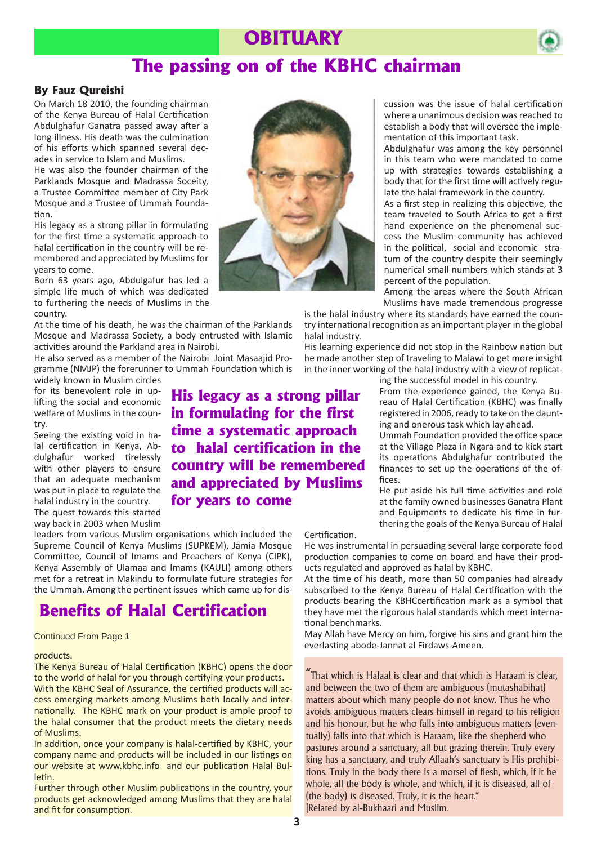### **OBITUARY**



### **The passing on of the KBHC chairman**

#### **By Fauz Qureishi**

On March 18 2010, the founding chairman of the Kenya Bureau of Halal Certification Abdulghafur Ganatra passed away after a long illness. His death was the culmination of his efforts which spanned several decades in service to Islam and Muslims.

He was also the founder chairman of the Parklands Mosque and Madrassa Soceity, a Trustee Committee member of City Park Mosque and a Trustee of Ummah Foundation.

His legacy as a strong pillar in formulating for the first time a systematic approach to halal certification in the country will be remembered and appreciated by Muslims for years to come.

Born 63 years ago, Abdulgafur has led a simple life much of which was dedicated to furthering the needs of Muslims in the country.

At the time of his death, he was the chairman of the Parklands Mosque and Madrassa Society, a body entrusted with Islamic activities around the Parkland area in Nairobi.

He also served as a member of the Nairobi Joint Masaajid Programme (NMJP) the forerunner to Ummah Foundation which is widely known in Muslim circles

for its benevolent role in uplifting the social and economic welfare of Muslims in the country.

Seeing the existing void in halal certification in Kenya, Abdulghafur worked tirelessly with other players to ensure that an adequate mechanism was put in place to regulate the halal industry in the country. The quest towards this started way back in 2003 when Muslim **His legacy as a strong pillar in formulating for the first time a systematic approach to halal certification in the country will be remembered and appreciated by Muslims for years to come** 

leaders from various Muslim organisations which included the Supreme Council of Kenya Muslims (SUPKEM), Jamia Mosque Committee, Council of Imams and Preachers of Kenya (CIPK), Kenya Assembly of Ulamaa and Imams (KAULI) among others met for a retreat in Makindu to formulate future strategies for the Ummah. Among the pertinent issues which came up for dis-

### **Benefits of Halal Certification**

#### products.

The Kenya Bureau of Halal Certification (KBHC) opens the door to the world of halal for you through certifying your products.

With the KBHC Seal of Assurance, the certified products will access emerging markets among Muslims both locally and internationally. The KBHC mark on your product is ample proof to the halal consumer that the product meets the dietary needs of Muslims.

In addition, once your company is halal-certified by KBHC, your company name and products will be included in our listings on our website at www.kbhc.info and our publication Halal Bulletin.

Further through other Muslim publications in the country, your products get acknowledged among Muslims that they are halal and fit for consumption.



cussion was the issue of halal certification where a unanimous decision was reached to establish a body that will oversee the implementation of this important task.

Abdulghafur was among the key personnel in this team who were mandated to come up with strategies towards establishing a body that for the first time will actively regulate the halal framework in the country.

As a first step in realizing this objective, the team traveled to South Africa to get a first hand experience on the phenomenal success the Muslim community has achieved in the political, social and economic stratum of the country despite their seemingly numerical small numbers which stands at 3 percent of the population.

Among the areas where the South African Muslims have made tremendous progresse

is the halal industry where its standards have earned the country international recognition as an important player in the global halal industry.

His learning experience did not stop in the Rainbow nation but he made another step of traveling to Malawi to get more insight in the inner working of the halal industry with a view of replicat-

ing the successful model in his country.

From the experience gained, the Kenya Bureau of Halal Certification (KBHC) was finally registered in 2006, ready to take on the daunting and onerous task which lay ahead.

Ummah Foundation provided the office space at the Village Plaza in Ngara and to kick start its operations Abdulghafur contributed the finances to set up the operations of the offices.

He put aside his full time activities and role at the family owned businesses Ganatra Plant and Equipments to dedicate his time in furthering the goals of the Kenya Bureau of Halal

#### Certification.

He was instrumental in persuading several large corporate food production companies to come on board and have their products regulated and approved as halal by KBHC.

At the time of his death, more than 50 companies had already subscribed to the Kenya Bureau of Halal Certification with the products bearing the KBHCcertification mark as a symbol that they have met the rigorous halal standards which meet international benchmarks.

May Allah have Mercy on him, forgive his sins and grant him the everlasting abode-Jannat al From Page 1 and the Unit of the Unit of the May Allah have Mercy on him, forgive his sin<br>everlasting abode-Jannat al Firdaws-Ameen.

> "That which is Halaal is clear and that which is Haraam is clear, and between the two of them are ambiguous (mutashabihat) matters about which many people do not know. Thus he who avoids ambiguous matters clears himself in regard to his religion and his honour, but he who falls into ambiguous matters (eventually) falls into that which is Haraam, like the shepherd who pastures around a sanctuary, all but grazing therein. Truly every king has a sanctuary, and truly Allaah's sanctuary is His prohibitions. Truly in the body there is a morsel of flesh, which, if it be whole, all the body is whole, and which, if it is diseased, all of (the body) is diseased. Truly, it is the heart." [Related by al-Bukhaari and Muslim.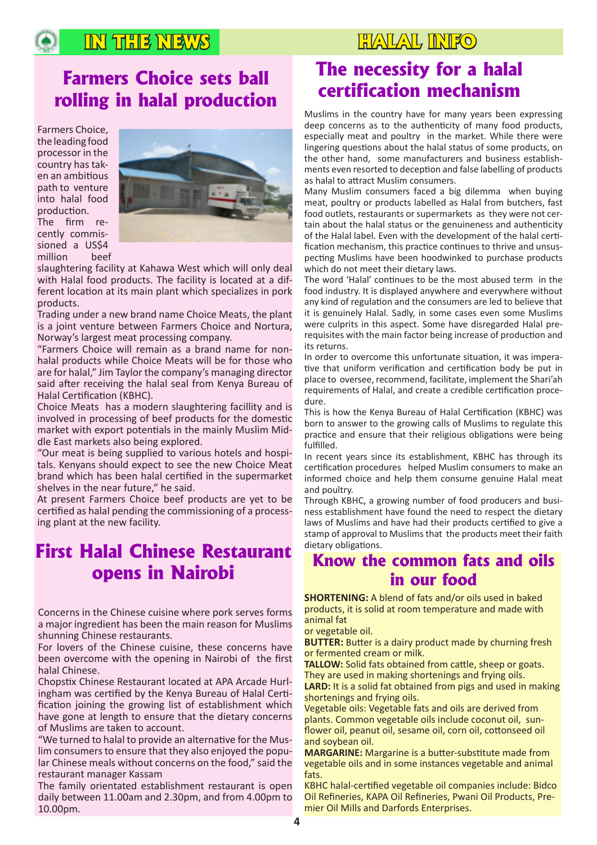### **IN THE NEWS IN THE NEWS HALAL INFO**

### **Farmers Choice sets ball rolling in halal production**

Farmers Choice, the leading food processor in the country has taken an ambitious path to venture into halal food production.

The firm recently commissioned a US\$4 million beef



slaughtering facility at Kahawa West which will only deal with Halal food products. The facility is located at a different location at its main plant which specializes in pork products.

Trading under a new brand name Choice Meats, the plant is a joint venture between Farmers Choice and Nortura, Norway's largest meat processing company.

"Farmers Choice will remain as a brand name for nonhalal products while Choice Meats will be for those who are for halal," Jim Taylor the company's managing director said after receiving the halal seal from Kenya Bureau of Halal Certification (KBHC).

Choice Meats has a modern slaughtering facillity and is involved in processing of beef products for the domestic market with export potentials in the mainly Muslim Middle East markets also being explored.

"Our meat is being supplied to various hotels and hospitals. Kenyans should expect to see the new Choice Meat brand which has been halal certified in the supermarket shelves in the near future," he said.

At present Farmers Choice beef products are yet to be certified as halal pending the commissioning of a processing plant at the new facility.

### **First Halal Chinese Restaurant opens in Nairobi**

Concerns in the Chinese cuisine where pork serves forms a major ingredient has been the main reason for Muslims shunning Chinese restaurants.

For lovers of the Chinese cuisine, these concerns have been overcome with the opening in Nairobi of the first halal Chinese.

Chopstix Chinese Restaurant located at APA Arcade Hurlingham was certified by the Kenya Bureau of Halal Certification joining the growing list of establishment which have gone at length to ensure that the dietary concerns of Muslims are taken to account.

"We turned to halal to provide an alternative for the Muslim consumers to ensure that they also enjoyed the popular Chinese meals without concerns on the food," said the restaurant manager Kassam

The family orientated establishment restaurant is open daily between 11.00am and 2.30pm, and from 4.00pm to 10.00pm.

### **The necessity for a halal certification mechanism**

Muslims in the country have for many years been expressing deep concerns as to the authenticity of many food products, especially meat and poultry in the market. While there were lingering questions about the halal status of some products, on the other hand, some manufacturers and business establishments even resorted to deception and false labelling of products as halal to attract Muslim consumers.

Many Muslim consumers faced a big dilemma when buying meat, poultry or products labelled as Halal from butchers, fast food outlets, restaurants or supermarkets as they were not certain about the halal status or the genuineness and authenticity of the Halal label. Even with the development of the halal certification mechanism, this practice continues to thrive and unsuspecting Muslims have been hoodwinked to purchase products which do not meet their dietary laws.

The word 'Halal' continues to be the most abused term in the food industry. It is displayed anywhere and everywhere without any kind of regulation and the consumers are led to believe that it is genuinely Halal. Sadly, in some cases even some Muslims were culprits in this aspect. Some have disregarded Halal prerequisites with the main factor being increase of production and its returns.

In order to overcome this unfortunate situation, it was imperative that uniform verification and certification body be put in place to oversee, recommend, facilitate, implement the Shari'ah requirements of Halal, and create a credible certification procedure.

This is how the Kenya Bureau of Halal Certification (KBHC) was born to answer to the growing calls of Muslims to regulate this practice and ensure that their religious obligations were being fulfilled.

In recent years since its establishment, KBHC has through its certification procedures helped Muslim consumers to make an informed choice and help them consume genuine Halal meat and poultry.

Through KBHC, a growing number of food producers and business establishment have found the need to respect the dietary laws of Muslims and have had their products certified to give a stamp of approval to Muslims that the products meet their faith dietary obligations.

### **Know the common fats and oils in our food**

**SHORTENING:** A blend of fats and/or oils used in baked products, it is solid at room temperature and made with animal fat

or vegetable oil.

**BUTTER:** Butter is a dairy product made by churning fresh or fermented cream or milk.

**TALLOW:** Solid fats obtained from cattle, sheep or goats. They are used in making shortenings and frying oils.

**LARD:** It is a solid fat obtained from pigs and used in making shortenings and frying oils.

Vegetable oils: Vegetable fats and oils are derived from plants. Common vegetable oils include coconut oil, sunflower oil, peanut oil, sesame oil, corn oil, cottonseed oil and soybean oil.

**MARGARINE:** Margarine is a butter-substitute made from vegetable oils and in some instances vegetable and animal fats.

KBHC halal-certified vegetable oil companies include: Bidco Oil Refineries, KAPA Oil Refineries, Pwani Oil Products, Premier Oil Mills and Darfords Enterprises.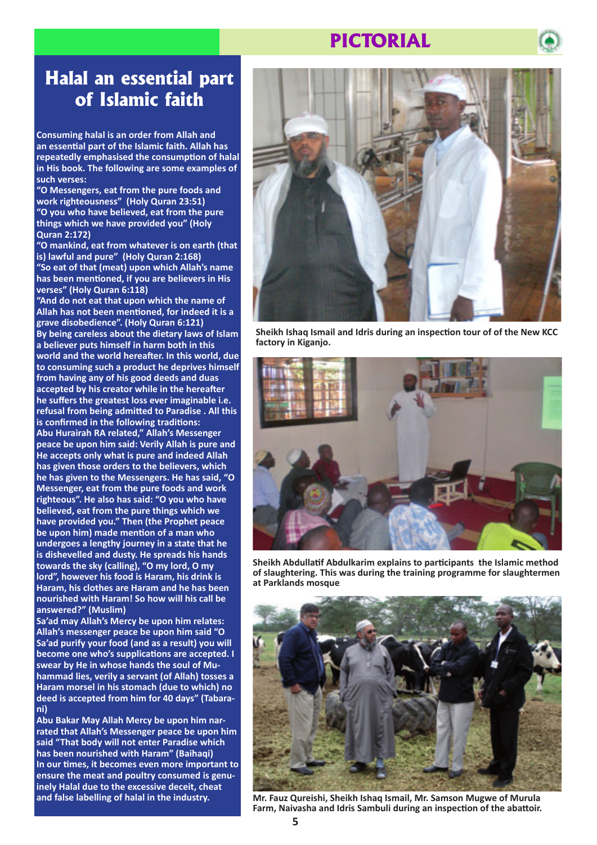### **PICTORIAL**



### **Halal an essential part of Islamic faith**

**Consuming halal is an order from Allah and an essential part of the Islamic faith. Allah has repeatedly emphasised the consumption of halal in His book. The following are some examples of such verses:**

**"O Messengers, eat from the pure foods and work righteousness" (Holy Quran 23:51) "O you who have believed, eat from the pure things which we have provided you" (Holy Quran 2:172)**

**"O mankind, eat from whatever is on earth (that is) lawful and pure" (Holy Quran 2:168) "So eat of that (meat) upon which Allah's name has been mentioned, if you are believers in His verses" (Holy Quran 6:118)**

**"And do not eat that upon which the name of Allah has not been mentioned, for indeed it is a grave disobedience". (Holy Quran 6:121) By being careless about the dietary laws of Islam a believer puts himself in harm both in this world and the world hereafter. In this world, due to consuming such a product he deprives himself from having any of his good deeds and duas accepted by his creator while in the hereafter he suffers the greatest loss ever imaginable i.e. refusal from being admitted to Paradise . All this is confirmed in the following traditions: Abu Hurairah RA related," Allah's Messenger peace be upon him said: Verily Allah is pure and He accepts only what is pure and indeed Allah has given those orders to the believers, which he has given to the Messengers. He has said, "O Messenger, eat from the pure foods and work righteous". He also has said: "O you who have believed, eat from the pure things which we have provided you." Then (the Prophet peace be upon him) made mention of a man who undergoes a lengthy journey in a state that he is dishevelled and dusty. He spreads his hands towards the sky (calling), "O my lord, O my lord", however his food is Haram, his drink is Haram, his clothes are Haram and he has been nourished with Haram! So how will his call be answered?" (Muslim)**

**Sa'ad may Allah's Mercy be upon him relates: Allah's messenger peace be upon him said "O Sa'ad purify your food (and as a result) you will become one who's supplications are accepted. I swear by He in whose hands the soul of Muhammad lies, verily a servant (of Allah) tosses a Haram morsel in his stomach (due to which) no deed is accepted from him for 40 days" (Tabarani)**

**Abu Bakar May Allah Mercy be upon him narrated that Allah's Messenger peace be upon him said "That body will not enter Paradise which has been nourished with Haram" (Baihaqi) In our times, it becomes even more important to ensure the meat and poultry consumed is genuinely Halal due to the excessive deceit, cheat and false labelling of halal in the industry.**



**Sheikh Ishaq Ismail and Idris during an inspection tour of of the New KCC factory in Kiganjo.**



**Sheikh Abdullatif Abdulkarim explains to participants the Islamic method of slaughtering. This was during the training programme for slaughtermen at Parklands mosque**



**Mr. Fauz Qureishi, Sheikh Ishaq Ismail, Mr. Samson Mugwe of Murula Farm, Naivasha and Idris Sambuli during an inspection of the abattoir.**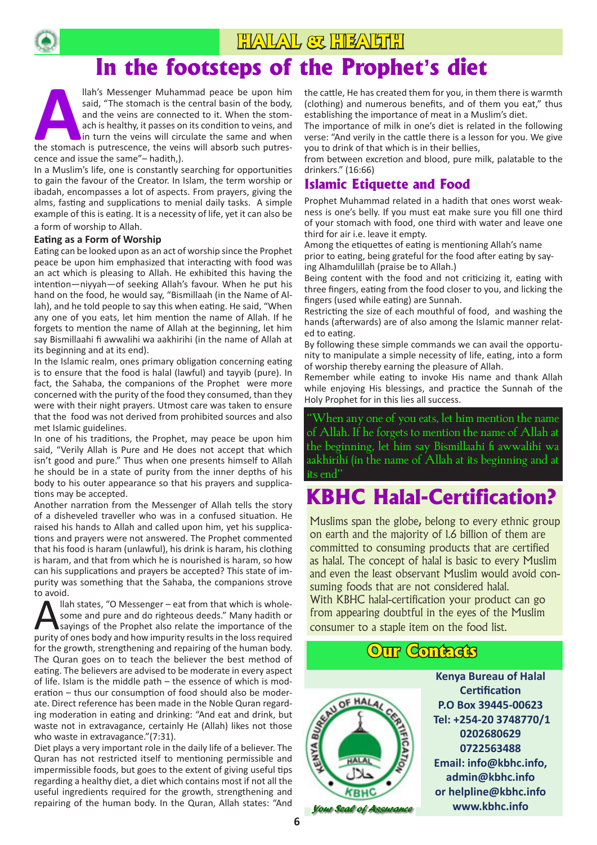

# **In the footsteps of the Prophet's diet**

**ALLACT CALC COLOCE DE COLOCE SUBARDER**<br>
llah's Messenger Muhammad peace be upon him<br>
said, "The stomach is the central basin of the body,<br>
and the veins are connected to it. When the stom-<br>
ach is healthy, it passes on it said, "The stomach is the central basin of the body, and the veins are connected to it. When the stomach is healthy, it passes on its condition to veins, and in turn the veins will circulate the same and when cence and issue the same"– hadith,).

In a Muslim's life, one is constantly searching for opportunities to gain the favour of the Creator. In Islam, the term worship or ibadah, encompasses a lot of aspects. From prayers, giving the alms, fasting and supplications to menial daily tasks. A simple example of this is eating. It is a necessity of life, yet it can also be a form of worship to Allah.

#### **Eating as a Form of Worship**

Eating can be looked upon as an act of worship since the Prophet peace be upon him emphasized that interacting with food was an act which is pleasing to Allah. He exhibited this having the intention—niyyah—of seeking Allah's favour. When he put his hand on the food, he would say, "Bismillaah (in the Name of Allah), and he told people to say this when eating. He said, "When any one of you eats, let him mention the name of Allah. If he forgets to mention the name of Allah at the beginning, let him say Bismillaahi fi awwalihi wa aakhirihi (in the name of Allah at its beginning and at its end).

In the Islamic realm, ones primary obligation concerning eating is to ensure that the food is halal (lawful) and tayyib (pure). In fact, the Sahaba, the companions of the Prophet were more concerned with the purity of the food they consumed, than they were with their night prayers. Utmost care was taken to ensure that the food was not derived from prohibited sources and also met Islamic guidelines.

In one of his traditions, the Prophet, may peace be upon him said, "Verily Allah is Pure and He does not accept that which isn't good and pure." Thus when one presents himself to Allah he should be in a state of purity from the inner depths of his body to his outer appearance so that his prayers and supplications may be accepted.

Another narration from the Messenger of Allah tells the story of a disheveled traveller who was in a confused situation. He raised his hands to Allah and called upon him, yet his supplications and prayers were not answered. The Prophet commented that his food is haram (unlawful), his drink is haram, his clothing is haram, and that from which he is nourished is haram, so how can his supplications and prayers be accepted? This state of impurity was something that the Sahaba, the companions strove to avoid.

The states, "O Messenger – eat from that which is whole-<br>
some and pure and do righteous deeds." Many hadith or<br>
sayings of the Prophet also relate the importance of the<br>
nurity of once bedy and bourinously require in the some and pure and do righteous deeds." Many hadith or purity of ones body and how impurity results in the loss required for the growth, strengthening and repairing of the human body. The Quran goes on to teach the believer the best method of eating. The believers are advised to be moderate in every aspect of life. Islam is the middle path – the essence of which is moderation – thus our consumption of food should also be moderate. Direct reference has been made in the Noble Quran regarding moderation in eating and drinking: "And eat and drink, but waste not in extravagance, certainly He (Allah) likes not those who waste in extravagance."(7:31).

Diet plays a very important role in the daily life of a believer. The Quran has not restricted itself to mentioning permissible and impermissible foods, but goes to the extent of giving useful tips regarding a healthy diet, a diet which contains most if not all the useful ingredients required for the growth, strengthening and repairing of the human body. In the Quran, Allah states: "And the cattle, He has created them for you, in them there is warmth (clothing) and numerous benefits, and of them you eat," thus establishing the importance of meat in a Muslim's diet.

The importance of milk in one's diet is related in the following verse: "And verily in the cattle there is a lesson for you. We give you to drink of that which is in their bellies,

from between excretion and blood, pure milk, palatable to the drinkers." (16:66)

### **Islamic Etiquette and Food**

Prophet Muhammad related in a hadith that ones worst weakness is one's belly. If you must eat make sure you fill one third of your stomach with food, one third with water and leave one third for air i.e. leave it empty.

Among the etiquettes of eating is mentioning Allah's name prior to eating, being grateful for the food after eating by saying Alhamdulillah (praise be to Allah.)

Being content with the food and not criticizing it, eating with three fingers, eating from the food closer to you, and licking the fingers (used while eating) are Sunnah.

Restricting the size of each mouthful of food, and washing the hands (afterwards) are of also among the Islamic manner related to eating.

By following these simple commands we can avail the opportunity to manipulate a simple necessity of life, eating, into a form of worship thereby earning the pleasure of Allah.

Remember while eating to invoke His name and thank Allah while enjoying His blessings, and practice the Sunnah of the Holy Prophet for in this lies all success.

"When any one of you eats, let him mention the name of Allah. If he forgets to mention the name of Allah at the beginning, let him say Bismillaahi fi awwalihi wa aakhirihi (in the name of Allah at its beginning and at its end"

### **KBHC Halal-Certification?**

Muslims span the globe, belong to every ethnic group on earth and the majority of 1.6 billion of them are committed to consuming products that are certified as halal. The concept of halal is basic to every Muslim and even the least observant Muslim would avoid consuming foods that are not considered halal. With KBHC halal-certification your product can go from appearing doubtful in the eyes of the Muslim consumer to a staple item on the food list.

### **Our Contacts**



**Kenya Bureau of Halal Certification P.O Box 39445-00623 Tel: +254-20 3748770/1 0202680629 0722563488 Email: info@kbhc.info, admin@kbhc.info or helpline@kbhc.info www.kbhc.info**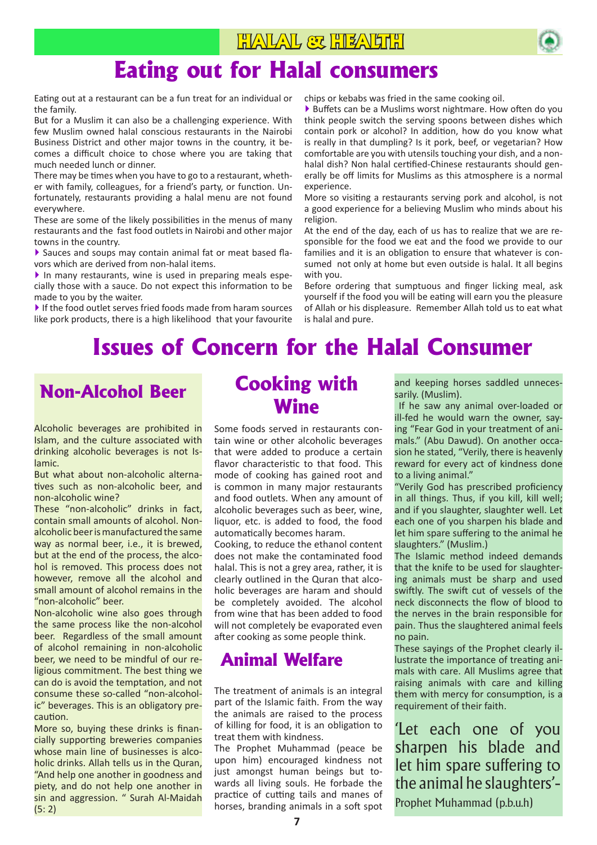

## **Eating out for Halal consumers**

Eating out at a restaurant can be a fun treat for an individual or the family.

But for a Muslim it can also be a challenging experience. With few Muslim owned halal conscious restaurants in the Nairobi Business District and other major towns in the country, it becomes a difficult choice to chose where you are taking that much needed lunch or dinner.

There may be times when you have to go to a restaurant, whether with family, colleagues, for a friend's party, or function. Unfortunately, restaurants providing a halal menu are not found everywhere.

These are some of the likely possibilities in the menus of many restaurants and the fast food outlets in Nairobi and other major towns in the country.

▶ Sauces and soups may contain animal fat or meat based flavors which are derived from non-halal items.

▶ In many restaurants, wine is used in preparing meals especially those with a sauce. Do not expect this information to be made to you by the waiter.

▶ If the food outlet serves fried foods made from haram sources like pork products, there is a high likelihood that your favourite

chips or kebabs was fried in the same cooking oil.

▶ Buffets can be a Muslims worst nightmare. How often do you think people switch the serving spoons between dishes which contain pork or alcohol? In addition, how do you know what is really in that dumpling? Is it pork, beef, or vegetarian? How comfortable are you with utensils touching your dish, and a nonhalal dish? Non halal certified-Chinese restaurants should generally be off limits for Muslims as this atmosphere is a normal experience.

More so visiting a restaurants serving pork and alcohol, is not a good experience for a believing Muslim who minds about his religion.

At the end of the day, each of us has to realize that we are responsible for the food we eat and the food we provide to our families and it is an obligation to ensure that whatever is consumed not only at home but even outside is halal. It all begins with you.

Before ordering that sumptuous and finger licking meal, ask yourself if the food you will be eating will earn you the pleasure of Allah or his displeasure. Remember Allah told us to eat what is halal and pure.

# **Issues of Concern for the Halal Consumer**

Alcoholic beverages are prohibited in Islam, and the culture associated with drinking alcoholic beverages is not Islamic.

But what about non-alcoholic alternatives such as non-alcoholic beer, and non-alcoholic wine?

These "non-alcoholic" drinks in fact, contain small amounts of alcohol. Nonalcoholic beer is manufactured the same way as normal beer, i.e., it is brewed, but at the end of the process, the alcohol is removed. This process does not however, remove all the alcohol and small amount of alcohol remains in the "non-alcoholic" beer.

Non-alcoholic wine also goes through the same process like the non-alcohol beer. Regardless of the small amount of alcohol remaining in non-alcoholic beer, we need to be mindful of our religious commitment. The best thing we can do is avoid the temptation, and not consume these so-called "non-alcoholic" beverages. This is an obligatory precaution.

More so, buying these drinks is financially supporting breweries companies whose main line of businesses is alcoholic drinks. Allah tells us in the Quran, "And help one another in goodness and piety, and do not help one another in sin and aggression. " Surah Al-Maidah (5: 2)

### **Non-Alcohol Beer Cooking with Wine**

Some foods served in restaurants contain wine or other alcoholic beverages that were added to produce a certain flavor characteristic to that food. This mode of cooking has gained root and is common in many major restaurants and food outlets. When any amount of alcoholic beverages such as beer, wine, liquor, etc. is added to food, the food automatically becomes haram.

Cooking, to reduce the ethanol content does not make the contaminated food halal. This is not a grey area, rather, it is clearly outlined in the Quran that alcoholic beverages are haram and should be completely avoided. The alcohol from wine that has been added to food will not completely be evaporated even after cooking as some people think.

### **Animal Welfare**

The treatment of animals is an integral part of the Islamic faith. From the way the animals are raised to the process of killing for food, it is an obligation to treat them with kindness.

The Prophet Muhammad (peace be upon him) encouraged kindness not just amongst human beings but towards all living souls. He forbade the practice of cutting tails and manes of horses, branding animals in a soft spot and keeping horses saddled unnecessarily. (Muslim).

 If he saw any animal over-loaded or ill-fed he would warn the owner, saying "Fear God in your treatment of animals." (Abu Dawud). On another occasion he stated, "Verily, there is heavenly reward for every act of kindness done to a living animal."

"Verily God has prescribed proficiency in all things. Thus, if you kill, kill well; and if you slaughter, slaughter well. Let each one of you sharpen his blade and let him spare suffering to the animal he slaughters." (Muslim.)

The Islamic method indeed demands that the knife to be used for slaughtering animals must be sharp and used swiftly. The swift cut of vessels of the neck disconnects the flow of blood to the nerves in the brain responsible for pain. Thus the slaughtered animal feels no pain.

These sayings of the Prophet clearly illustrate the importance of treating animals with care. All Muslims agree that raising animals with care and killing them with mercy for consumption, is a requirement of their faith.

'Let each one of you sharpen his blade and let him spare suffering to the animal he slaughters'-

Prophet Muhammad (p.b.u.h)